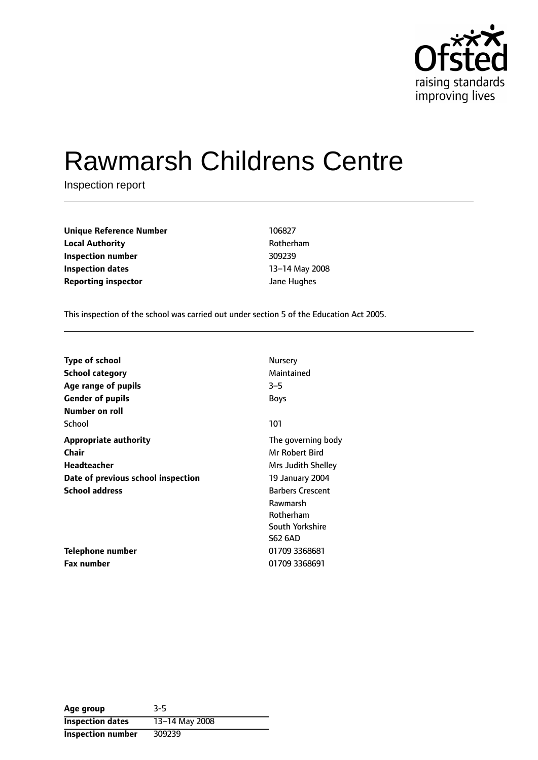

# Rawmarsh Childrens Centre

Inspection report

**Unique Reference Number** 106827 **Local Authority Contract Authority Rotherham Inspection number** 309239 **Inspection dates** 13-14 May 2008 **Reporting inspector and COVID-10** *S* and Hughes

This inspection of the school was carried out under section 5 of the Education Act 2005.

| <b>Type of school</b>              | Nursery                 |
|------------------------------------|-------------------------|
| <b>School category</b>             | Maintained              |
| Age range of pupils                | $3 - 5$                 |
| <b>Gender of pupils</b>            | <b>Boys</b>             |
| Number on roll                     |                         |
| School                             | 101                     |
| <b>Appropriate authority</b>       | The governing body      |
| Chair                              | Mr Robert Bird          |
| Headteacher                        | Mrs Judith Shelley      |
| Date of previous school inspection | 19 January 2004         |
| <b>School address</b>              | <b>Barbers Crescent</b> |
|                                    | Rawmarsh                |
|                                    | Rotherham               |
|                                    | South Yorkshire         |
|                                    | <b>S62 6AD</b>          |
| Telephone number                   | 01709 3368681           |
| <b>Fax number</b>                  | 01709 3368691           |

| Age group                | $3 - 5$        |
|--------------------------|----------------|
| <b>Inspection dates</b>  | 13-14 May 2008 |
| <b>Inspection number</b> | 309239         |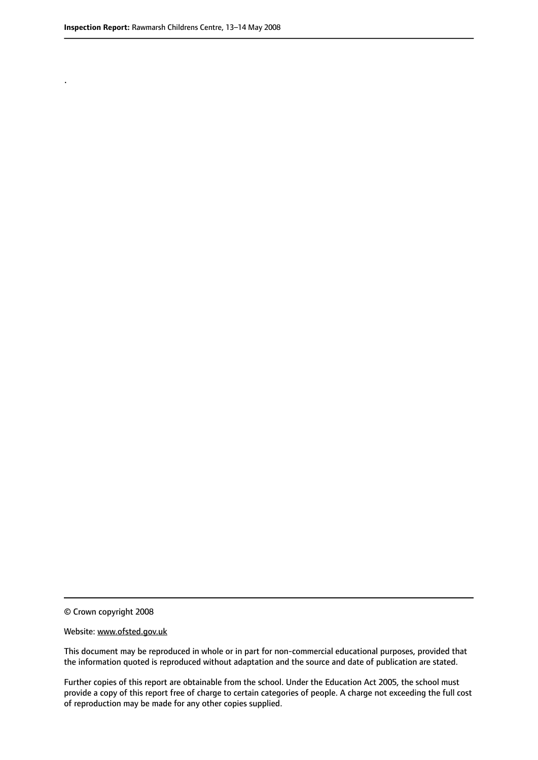.

© Crown copyright 2008

#### Website: www.ofsted.gov.uk

This document may be reproduced in whole or in part for non-commercial educational purposes, provided that the information quoted is reproduced without adaptation and the source and date of publication are stated.

Further copies of this report are obtainable from the school. Under the Education Act 2005, the school must provide a copy of this report free of charge to certain categories of people. A charge not exceeding the full cost of reproduction may be made for any other copies supplied.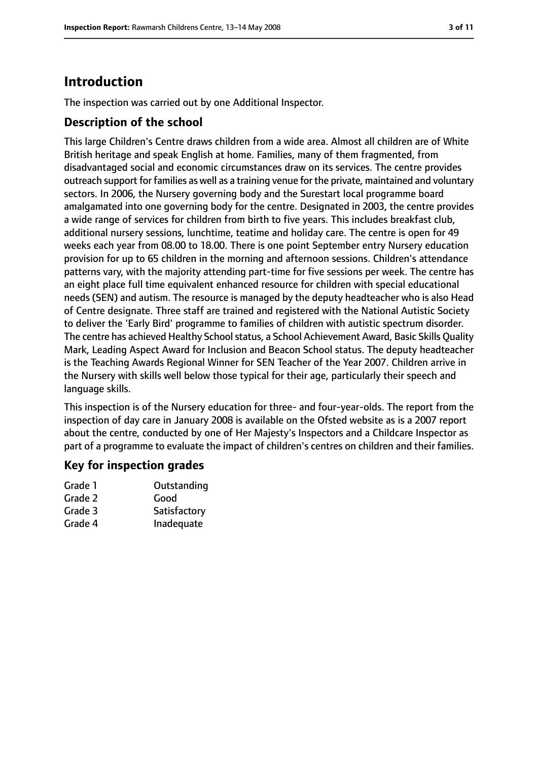# **Introduction**

The inspection was carried out by one Additional Inspector.

## **Description of the school**

This large Children's Centre draws children from a wide area. Almost all children are of White British heritage and speak English at home. Families, many of them fragmented, from disadvantaged social and economic circumstances draw on its services. The centre provides outreach support for families as well as a training venue for the private, maintained and voluntary sectors. In 2006, the Nursery governing body and the Surestart local programme board amalgamated into one governing body for the centre. Designated in 2003, the centre provides a wide range of services for children from birth to five years. This includes breakfast club, additional nursery sessions, lunchtime, teatime and holiday care. The centre is open for 49 weeks each year from 08.00 to 18.00. There is one point September entry Nursery education provision for up to 65 children in the morning and afternoon sessions. Children's attendance patterns vary, with the majority attending part-time for five sessions per week. The centre has an eight place full time equivalent enhanced resource for children with special educational needs (SEN) and autism. The resource is managed by the deputy headteacher who is also Head of Centre designate. Three staff are trained and registered with the National Autistic Society to deliver the 'Early Bird' programme to families of children with autistic spectrum disorder. The centre has achieved Healthy School status, a School Achievement Award, Basic Skills Quality Mark, Leading Aspect Award for Inclusion and Beacon School status. The deputy headteacher is the Teaching Awards Regional Winner for SEN Teacher of the Year 2007. Children arrive in the Nursery with skills well below those typical for their age, particularly their speech and language skills.

This inspection is of the Nursery education for three- and four-year-olds. The report from the inspection of day care in January 2008 is available on the Ofsted website as is a 2007 report about the centre, conducted by one of Her Majesty's Inspectors and a Childcare Inspector as part of a programme to evaluate the impact of children's centres on children and their families.

## **Key for inspection grades**

| Grade 1 | Outstanding  |
|---------|--------------|
| Grade 2 | Good         |
| Grade 3 | Satisfactory |
| Grade 4 | Inadequate   |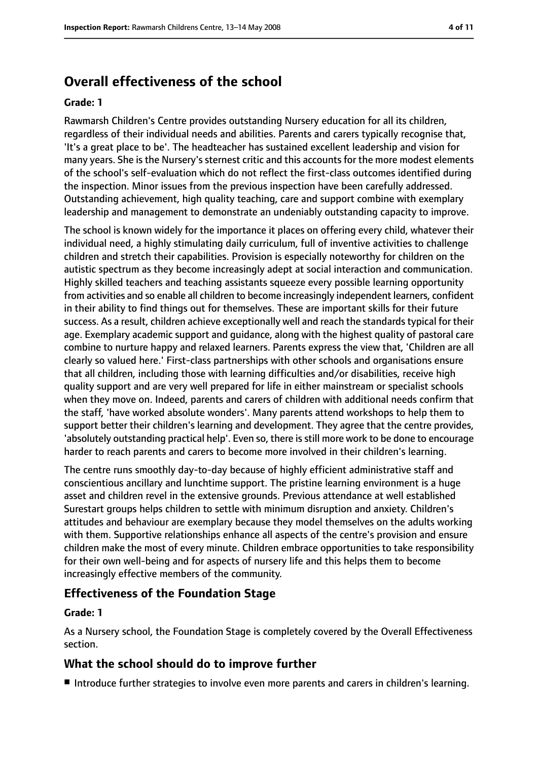# **Overall effectiveness of the school**

#### **Grade: 1**

Rawmarsh Children's Centre provides outstanding Nursery education for all its children, regardless of their individual needs and abilities. Parents and carers typically recognise that, 'It's a great place to be'. The headteacher has sustained excellent leadership and vision for many years. She is the Nursery's sternest critic and this accounts for the more modest elements of the school's self-evaluation which do not reflect the first-class outcomes identified during the inspection. Minor issues from the previous inspection have been carefully addressed. Outstanding achievement, high quality teaching, care and support combine with exemplary leadership and management to demonstrate an undeniably outstanding capacity to improve.

The school is known widely for the importance it places on offering every child, whatever their individual need, a highly stimulating daily curriculum, full of inventive activities to challenge children and stretch their capabilities. Provision is especially noteworthy for children on the autistic spectrum as they become increasingly adept at social interaction and communication. Highly skilled teachers and teaching assistants squeeze every possible learning opportunity from activities and so enable all children to become increasingly independent learners, confident in their ability to find things out for themselves. These are important skills for their future success. As a result, children achieve exceptionally well and reach the standards typical for their age. Exemplary academic support and guidance, along with the highest quality of pastoral care combine to nurture happy and relaxed learners. Parents express the view that, 'Children are all clearly so valued here.' First-class partnerships with other schools and organisations ensure that all children, including those with learning difficulties and/or disabilities, receive high quality support and are very well prepared for life in either mainstream or specialist schools when they move on. Indeed, parents and carers of children with additional needs confirm that the staff, 'have worked absolute wonders'. Many parents attend workshops to help them to support better their children's learning and development. They agree that the centre provides, 'absolutely outstanding practical help'. Even so, there is still more work to be done to encourage harder to reach parents and carers to become more involved in their children's learning.

The centre runs smoothly day-to-day because of highly efficient administrative staff and conscientious ancillary and lunchtime support. The pristine learning environment is a huge asset and children revel in the extensive grounds. Previous attendance at well established Surestart groups helps children to settle with minimum disruption and anxiety. Children's attitudes and behaviour are exemplary because they model themselves on the adults working with them. Supportive relationships enhance all aspects of the centre's provision and ensure children make the most of every minute. Children embrace opportunities to take responsibility for their own well-being and for aspects of nursery life and this helps them to become increasingly effective members of the community.

## **Effectiveness of the Foundation Stage**

#### **Grade: 1**

As a Nursery school, the Foundation Stage is completely covered by the Overall Effectiveness section.

#### **What the school should do to improve further**

■ Introduce further strategies to involve even more parents and carers in children's learning.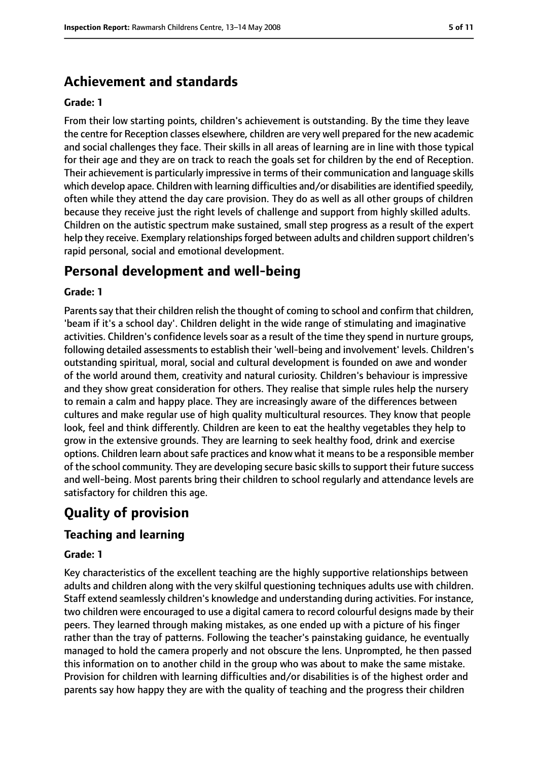# **Achievement and standards**

#### **Grade: 1**

From their low starting points, children's achievement is outstanding. By the time they leave the centre for Reception classes elsewhere, children are very well prepared for the new academic and social challenges they face. Their skills in all areas of learning are in line with those typical for their age and they are on track to reach the goals set for children by the end of Reception. Their achievement is particularly impressive in terms of their communication and language skills which develop apace. Children with learning difficulties and/or disabilities are identified speedily, often while they attend the day care provision. They do as well as all other groups of children because they receive just the right levels of challenge and support from highly skilled adults. Children on the autistic spectrum make sustained, small step progress as a result of the expert help they receive. Exemplary relationships forged between adults and children support children's rapid personal, social and emotional development.

# **Personal development and well-being**

#### **Grade: 1**

Parents say that their children relish the thought of coming to school and confirm that children, 'beam if it's a school day'. Children delight in the wide range of stimulating and imaginative activities. Children's confidence levels soar as a result of the time they spend in nurture groups, following detailed assessments to establish their 'well-being and involvement' levels. Children's outstanding spiritual, moral, social and cultural development is founded on awe and wonder of the world around them, creativity and natural curiosity. Children's behaviour is impressive and they show great consideration for others. They realise that simple rules help the nursery to remain a calm and happy place. They are increasingly aware of the differences between cultures and make regular use of high quality multicultural resources. They know that people look, feel and think differently. Children are keen to eat the healthy vegetables they help to grow in the extensive grounds. They are learning to seek healthy food, drink and exercise options. Children learn about safe practices and know what it means to be a responsible member of the school community. They are developing secure basic skills to support their future success and well-being. Most parents bring their children to school regularly and attendance levels are satisfactory for children this age.

# **Quality of provision**

## **Teaching and learning**

#### **Grade: 1**

Key characteristics of the excellent teaching are the highly supportive relationships between adults and children along with the very skilful questioning techniques adults use with children. Staff extend seamlessly children's knowledge and understanding during activities. For instance, two children were encouraged to use a digital camera to record colourful designs made by their peers. They learned through making mistakes, as one ended up with a picture of his finger rather than the tray of patterns. Following the teacher's painstaking guidance, he eventually managed to hold the camera properly and not obscure the lens. Unprompted, he then passed this information on to another child in the group who was about to make the same mistake. Provision for children with learning difficulties and/or disabilities is of the highest order and parents say how happy they are with the quality of teaching and the progress their children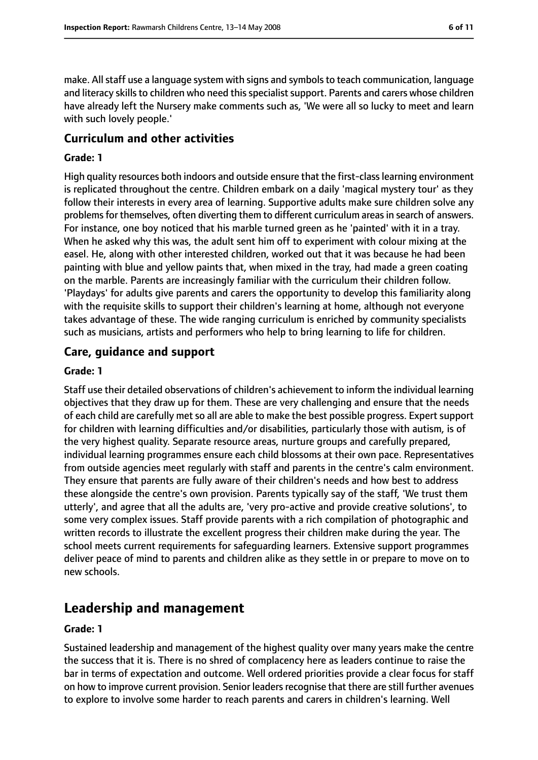make. All staff use a language system with signs and symbols to teach communication, language and literacy skills to children who need this specialist support. Parents and carers whose children have already left the Nursery make comments such as, 'We were all so lucky to meet and learn with such lovely people.'

#### **Curriculum and other activities**

#### **Grade: 1**

High quality resources both indoors and outside ensure that the first-classlearning environment is replicated throughout the centre. Children embark on a daily 'magical mystery tour' as they follow their interests in every area of learning. Supportive adults make sure children solve any problems for themselves, often diverting them to different curriculum areas in search of answers. For instance, one boy noticed that his marble turned green as he 'painted' with it in a tray. When he asked why this was, the adult sent him off to experiment with colour mixing at the easel. He, along with other interested children, worked out that it was because he had been painting with blue and yellow paints that, when mixed in the tray, had made a green coating on the marble. Parents are increasingly familiar with the curriculum their children follow. 'Playdays' for adults give parents and carers the opportunity to develop this familiarity along with the requisite skills to support their children's learning at home, although not everyone takes advantage of these. The wide ranging curriculum is enriched by community specialists such as musicians, artists and performers who help to bring learning to life for children.

#### **Care, guidance and support**

#### **Grade: 1**

Staff use their detailed observations of children's achievement to inform the individual learning objectives that they draw up for them. These are very challenging and ensure that the needs of each child are carefully met so all are able to make the best possible progress. Expert support for children with learning difficulties and/or disabilities, particularly those with autism, is of the very highest quality. Separate resource areas, nurture groups and carefully prepared, individual learning programmes ensure each child blossoms at their own pace. Representatives from outside agencies meet regularly with staff and parents in the centre's calm environment. They ensure that parents are fully aware of their children's needs and how best to address these alongside the centre's own provision. Parents typically say of the staff, 'We trust them utterly', and agree that all the adults are, 'very pro-active and provide creative solutions', to some very complex issues. Staff provide parents with a rich compilation of photographic and written records to illustrate the excellent progress their children make during the year. The school meets current requirements for safeguarding learners. Extensive support programmes deliver peace of mind to parents and children alike as they settle in or prepare to move on to new schools.

# **Leadership and management**

#### **Grade: 1**

Sustained leadership and management of the highest quality over many years make the centre the success that it is. There is no shred of complacency here as leaders continue to raise the bar in terms of expectation and outcome. Well ordered priorities provide a clear focus for staff on how to improve current provision. Senior leaders recognise that there are still further avenues to explore to involve some harder to reach parents and carers in children's learning. Well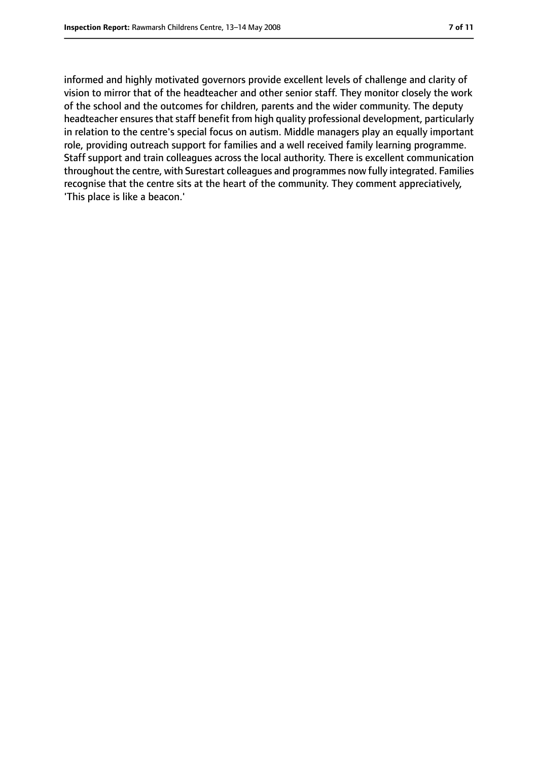informed and highly motivated governors provide excellent levels of challenge and clarity of vision to mirror that of the headteacher and other senior staff. They monitor closely the work of the school and the outcomes for children, parents and the wider community. The deputy headteacher ensures that staff benefit from high quality professional development, particularly in relation to the centre's special focus on autism. Middle managers play an equally important role, providing outreach support for families and a well received family learning programme. Staff support and train colleagues across the local authority. There is excellent communication throughout the centre, with Surestart colleagues and programmes now fully integrated. Families recognise that the centre sits at the heart of the community. They comment appreciatively, 'This place is like a beacon.'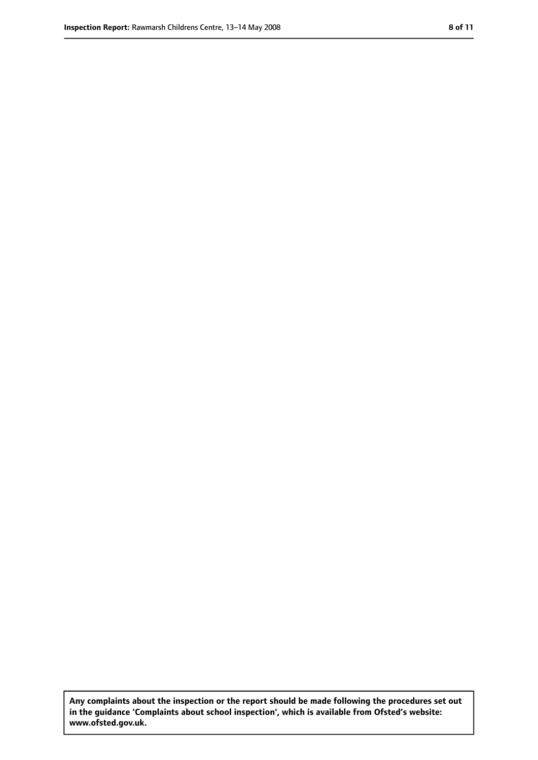**Any complaints about the inspection or the report should be made following the procedures set out in the guidance 'Complaints about school inspection', which is available from Ofsted's website: www.ofsted.gov.uk.**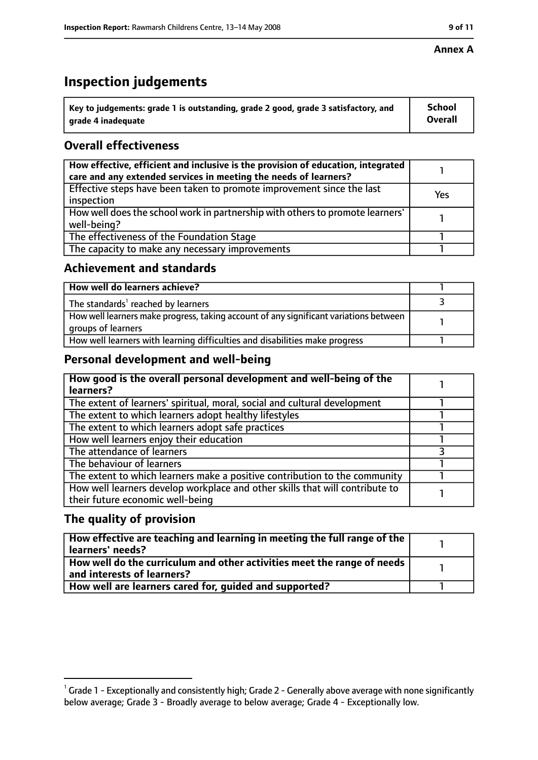#### **Annex A**

# **Inspection judgements**

| $^{\backprime}$ Key to judgements: grade 1 is outstanding, grade 2 good, grade 3 satisfactory, and | <b>School</b>  |
|----------------------------------------------------------------------------------------------------|----------------|
| arade 4 inadequate                                                                                 | <b>Overall</b> |

## **Overall effectiveness**

| How effective, efficient and inclusive is the provision of education, integrated<br>care and any extended services in meeting the needs of learners? |     |
|------------------------------------------------------------------------------------------------------------------------------------------------------|-----|
| Effective steps have been taken to promote improvement since the last<br>inspection                                                                  | Yes |
| How well does the school work in partnership with others to promote learners'<br>well-being?                                                         |     |
| The effectiveness of the Foundation Stage                                                                                                            |     |
| The capacity to make any necessary improvements                                                                                                      |     |

#### **Achievement and standards**

| How well do learners achieve?                                                                               |  |
|-------------------------------------------------------------------------------------------------------------|--|
| The standards <sup>1</sup> reached by learners                                                              |  |
| How well learners make progress, taking account of any significant variations between<br>groups of learners |  |
| How well learners with learning difficulties and disabilities make progress                                 |  |

## **Personal development and well-being**

| How good is the overall personal development and well-being of the<br>learners?                                  |  |
|------------------------------------------------------------------------------------------------------------------|--|
| The extent of learners' spiritual, moral, social and cultural development                                        |  |
| The extent to which learners adopt healthy lifestyles                                                            |  |
| The extent to which learners adopt safe practices                                                                |  |
| How well learners enjoy their education                                                                          |  |
| The attendance of learners                                                                                       |  |
| The behaviour of learners                                                                                        |  |
| The extent to which learners make a positive contribution to the community                                       |  |
| How well learners develop workplace and other skills that will contribute to<br>their future economic well-being |  |

## **The quality of provision**

| How effective are teaching and learning in meeting the full range of the<br>learners' needs?          |  |
|-------------------------------------------------------------------------------------------------------|--|
| How well do the curriculum and other activities meet the range of needs<br>and interests of learners? |  |
| How well are learners cared for, quided and supported?                                                |  |

 $^1$  Grade 1 - Exceptionally and consistently high; Grade 2 - Generally above average with none significantly below average; Grade 3 - Broadly average to below average; Grade 4 - Exceptionally low.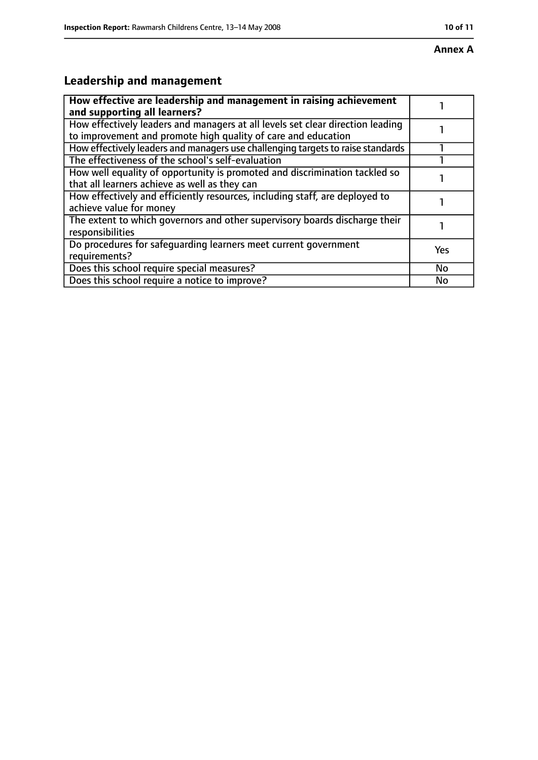# **Annex A**

# **Leadership and management**

| How effective are leadership and management in raising achievement<br>and supporting all learners?                                              |     |
|-------------------------------------------------------------------------------------------------------------------------------------------------|-----|
| How effectively leaders and managers at all levels set clear direction leading<br>to improvement and promote high quality of care and education |     |
| How effectively leaders and managers use challenging targets to raise standards                                                                 |     |
| The effectiveness of the school's self-evaluation                                                                                               |     |
| How well equality of opportunity is promoted and discrimination tackled so<br>that all learners achieve as well as they can                     |     |
| How effectively and efficiently resources, including staff, are deployed to<br>achieve value for money                                          |     |
| The extent to which governors and other supervisory boards discharge their<br>responsibilities                                                  |     |
| Do procedures for safequarding learners meet current government<br>requirements?                                                                | Yes |
| Does this school require special measures?                                                                                                      | No  |
| Does this school require a notice to improve?                                                                                                   | No  |